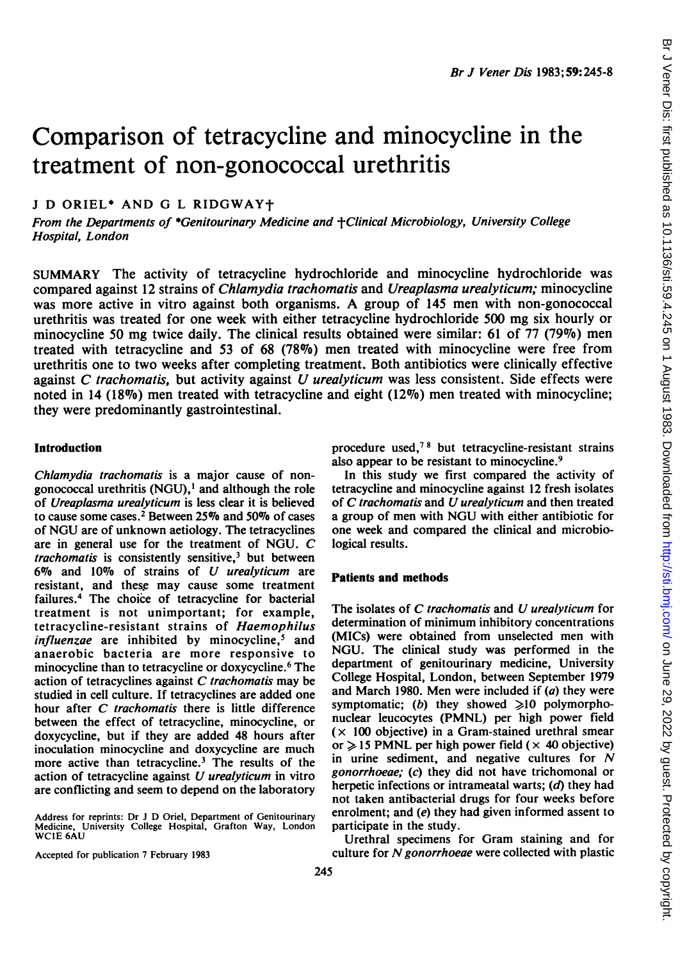# Comparison of tetracycline and minocycline in the treatment of non-gonococcal urethritis

<sup>J</sup> D ORIEL\* AND G <sup>L</sup> RIDGWAYt

From the Departments of \*Genitourinary Medicine and +Clinical Microbiology, University College Hospital, London

SUMMARY The activity of tetracycline hydrochloride and minocycline hydrochloride was compared against 12 strains of Chlamydia trachomatis and Ureaplasma urealyticum; minocycline was more active in vitro against both organisms. A group of <sup>145</sup> men with non-gonococcal urethritis was treated for one week with either tetracycline hydrochloride 500 mg six hourly or minocycline 50 mg twice daily. The clinical results obtained were similar: <sup>61</sup> of 77 (79%) men treated with tetracycline and 53 of 68 (78%) men treated with minocycline were free from urethritis one to two weeks after completing treatment. Both antibiotics were clinically effective against  $C$  trachomatis, but activity against  $U$  urealyticum was less consistent. Side effects were noted in 14 (18%) men treated with tetracycline and eight (12%) men treated with minocycline; they were predominantly gastrointestinal.

#### Introduction

Chlamydia trachomatis is a major cause of nongonococcal urethritis (NGU), $<sup>1</sup>$  and although the role</sup> of Ureaplasma urealyticum is less clear it is believed to cause some cases.<sup>2</sup> Between 25% and 50% of cases of NGU are of unknown aetiology. The tetracyclines are in general use for the treatment of NGU. C trachomatis is consistently sensitive, $3$  but between 6% and 10% of strains of U urealyticum are resistant, and these may cause some treatment failures.4 The choice of tetracycline for bacterial treatment is not unimportant; for example, tetracycline-resistant strains of Haemophilus *influenzae* are inhibited by minocycline,<sup>5</sup> and anaerobic bacteria are more responsive to minocycline than to tetracycline or doxycycline.6 The action of tetracyclines against  $C$  trachomatis may be studied in cell culture. If tetracyclines are added one hour after C trachomatis there is little difference between the effect of tetracycline, minocycline, or doxycycline, but if they are added 48 hours after inoculation minocycline and doxycycline are much more active than tetracycline.3 The results of the action of tetracycline against  $U$  *urealyticum* in vitro are conflicting and seem to depend on the laboratory

Address for reprints: Dr <sup>J</sup> D Oriel, Department of Genitourinary Medicine, University College Hospital, Grafton Way, London WC1E 6AU

Accepted for publication 7 February 1983

procedure used,<sup>78</sup> but tetracycline-resistant strains also appear to be resistant to minocycline.<sup>9</sup>

In this study we first compared the activity of tetracycline and minocycline against 12 fresh isolates of C trachomatis and U urealyticum and then treated <sup>a</sup> group of men with NGU with either antibiotic for one week and compared the clinical and microbiological results.

## Patients and methods

The isolates of C trachomatis and U urealyticum for determination of minimum inhibitory concentrations (MICs) were obtained from unselected men with NGU. The clinical study was performed in the department of genitourinary medicine, University College Hospital, London, between September 1979 and March 1980. Men were included if  $(a)$  they were symptomatic; (b) they showed  $\geq 10$  polymorphonuclear leucocytes (PMNL) per high power field  $(x 100$  objective) in a Gram-stained urethral smear or  $\ge$  15 PMNL per high power field ( $\times$  40 objective) in urine sediment, and negative cultures for N gonorrhoeae; (c) they did not have trichomonal or herpetic infections or intrameatal warts;  $(d)$  they had not taken antibacterial drugs for four weeks before enrolment; and (e) they had given informed assent to participate in the study.

Urethral specimens for Gram staining and for culture for  $N$  gonorrhoeae were collected with plastic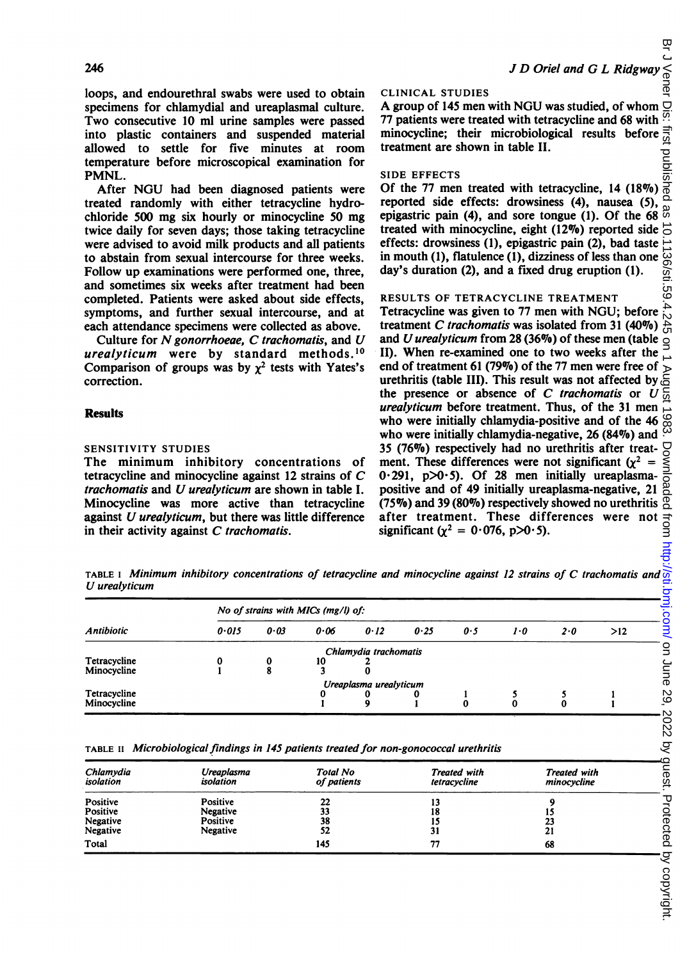**1.59** 

loops, and endourethral swabs were used to obtain specimens for chlamydial and ureaplasmal culture. Two consecutive 10 ml urine samples were passed into plastic containers and suspended material allowed to settle for five minutes at room temperature before microscopical examination for PMNL.

After NGU had been diagnosed patients were treated randomly with either tetracycline hydrochloride 500 mg six hourly or minocycline 50 mg twice daily for seven days; those taking tetracycline were advised to avoid milk products and all patients to abstain from sexual intercourse for three weeks. Follow up examinations were performed one, three, and sometimes six weeks after treatment had been completed. Patients were asked about side effects, symptoms, and further sexual intercourse, and at each attendance specimens were collected as above.

Culture for  $N$  gonorrhoeae,  $C$  trachomatis, and  $U$ urealyticum were by standard methods.10 Comparison of groups was by  $\chi^2$  tests with Yates's correction.

## Results

### SENSITIVITY STUDIES

The minimum inhibitory concentrations of tetracycline and minocycline against  $12$  strains of C trachomatis and U urealyticum are shown in table  $I$ . trachomatis and U urealyticum are shown in table I. Minocycline was more active than tetracycline<br>against *U urealyticum*, but there was little difference in their activity against C trachomatis.

#### CLINICAL STUDIES

A group of 145 men with NGU was studied, of whom  $\Box$ 77 patients were treated with tetracycline and 68 with  $\frac{97}{100}$ <br>minocycline; their microbiological results before  $\frac{97}{100}$ <br>treatment are shown in table II.<br>SIDE EFFECTS<br>Of the 77 men treated with tetracycline, 14 minocycline; their microbiological results before treatment are shown in table II.

#### SIDE EFFECTS

Of the 77 men treated with tetracycline, 14 (18%) reported side effects: drowsiness (4), nausea (5), စ္တ epigastric pain (4), and sore tongue (1). Of the 68 treated with minocycline, eight (12%) reported side  $\vec{\theta}$ effects: drowsiness (1), epigastric pain (2), bad taste in mouth (1), flatulence (1), dizziness of less than one 136 day's duration (2), and a fixed drug eruption (1).  $\frac{1}{2}$ 

## RESULTS OF TETRACYCLINE TREATMENT

on Jener Dis: htst published as 10.1136/sti.59.4.245 on 1 August 1983. Downloaded from publish. bring 29, 2022. by guest. Protected by copyright. Tetracycline was given to 77 men with NGU; before treatment C trachomatis was isolated from 31  $(40\%)$ and U urealyticum from 28 (36%) of these men (table  $\leq$ II). When re-examined one to two weeks after the end of treatment 61 (79%) of the 77 men were free of urethritis (table III). This result was not affected by the presence or absence of  $C$  trachomatis or  $U$ urealyticum before treatment. Thus, of the 31 men who were initially chlamydia-positive and of the 46 who were initially chlamydia-negative, 26 (84%) and 35 (76%) respectively had no urethritis after treat-Downlo ment. These differences were not significant ( $\chi^2$  =  $0.291$ ,  $p>0.5$ ). Of 28 men initially ureaplasmapositive and of 49 initially ureaplasma-negative, 21  $(75\%)$  and 39 (80%) respectively showed no urethritis after treatment. These differences were not significant ( $\chi^2 = 0.076$ , p $>0.5$ ).

TABLE <sup>I</sup> Minimum inhibitory concentrations of tetracycline and minocycline against <sup>12</sup> strains of C trachomatis and U urealyticum

| <b>Antibiotic</b> | No of strains with MICs (mg/l) of: |                |      |                        |      |     |     |     |     |
|-------------------|------------------------------------|----------------|------|------------------------|------|-----|-----|-----|-----|
|                   | 0.015                              | 0.03           | 0.06 | 0.12                   | 0.25 | 0.5 | 1.0 | 2.0 | >12 |
|                   |                                    |                |      | Chlamydia trachomatis  |      |     |     |     |     |
| Tetracycline      |                                    | 0              | 10   |                        |      |     |     |     |     |
| Minocycline       |                                    | $\bullet$<br>۰ |      |                        |      |     |     |     |     |
|                   |                                    |                |      | Ureaplasma urealyticum |      |     |     |     |     |
| Tetracycline      |                                    |                |      |                        |      |     |     |     |     |
| Minocycline       |                                    |                |      | ۰                      |      | 0   | 0   | 0   |     |

TABLE II Microbiological findings in 145 patients treated for non-gonococcal urethritis

| Chlamydia<br>isolation                       | Ureaplasma<br>isolation                      | <b>Total No</b><br>of patients | <b>Treated with</b><br>tetracycline | <b>Treated with</b><br>minocycline |  |
|----------------------------------------------|----------------------------------------------|--------------------------------|-------------------------------------|------------------------------------|--|
| Positive<br>Positive<br>Negative<br>Negative | Positive<br>Negative<br>Positive<br>Negative | 22<br>33<br>38<br>52           | 18<br>31                            | 23<br>21                           |  |
| Total                                        |                                              | 145                            | 77                                  | 68                                 |  |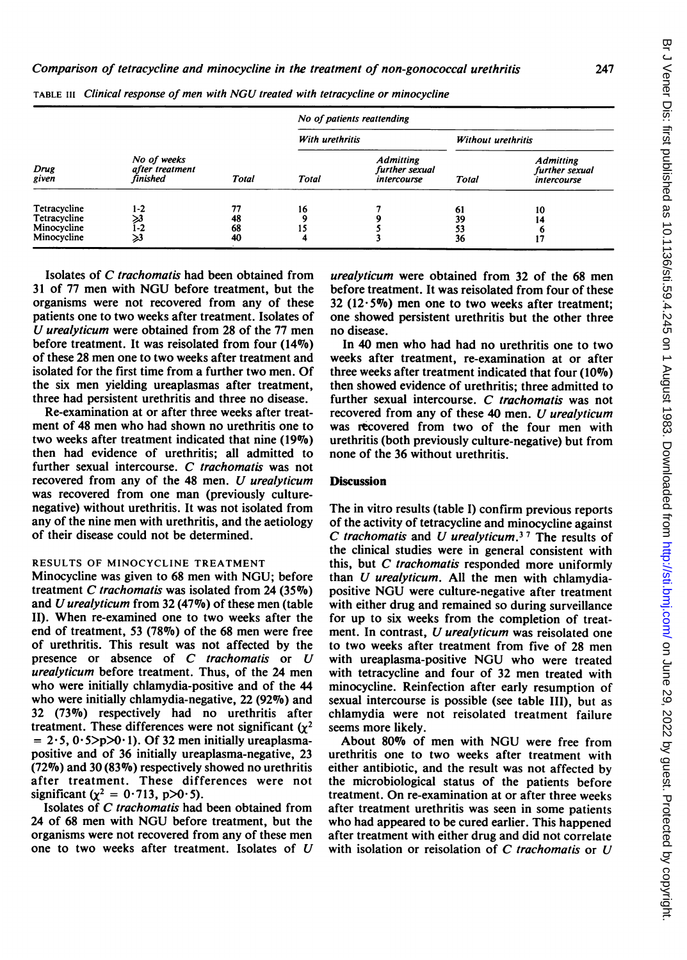| Drug<br>given                                              | No of weeks<br>after treatment<br>finished | Total                | No of patients reattending |                                                   |                           |                                                   |  |
|------------------------------------------------------------|--------------------------------------------|----------------------|----------------------------|---------------------------------------------------|---------------------------|---------------------------------------------------|--|
|                                                            |                                            |                      | With urethritis            |                                                   | <b>Without urethritis</b> |                                                   |  |
|                                                            |                                            |                      | Total                      | <b>Admitting</b><br>further sexual<br>intercourse | <b>Total</b>              | <b>Admitting</b><br>further sexual<br>intercourse |  |
| Tetracycline<br>Tetracycline<br>Minocycline<br>Minocycline | 1-2<br>>3<br>i-2<br>≫3                     | 77<br>48<br>68<br>40 | 16                         |                                                   | 61<br>39<br>53<br>36      | 10<br>14<br>6<br>17                               |  |

TABLE III Clinical response of men with NGU treated with tetracycline or minocycline

Isolates of C trachomatis had been obtained from <sup>31</sup> of <sup>77</sup> men with NGU before treatment, but the organisms were not recovered from any of these patients one to two weeks after treatment. Isolates of U urealyticum were obtained from <sup>28</sup> of the <sup>77</sup> men before treatment. It was reisolated from four (14%) of these 28 men one to two weeks after treatment and isolated for the first time from a further two men. Of the six men yielding ureaplasmas after treatment, three had persistent urethritis and three no disease.

Re-examination at or after three weeks after treatment of 48 men who had shown no urethritis one to two weeks after treatment indicated that nine (19%) then had evidence of urethritis; all admitted to further sexual intercourse. C trachomatis was not recovered from any of the <sup>48</sup> men. U urealyticum was recovered from one man (previously culturenegative) without urethritis. It was not isolated from any of the nine men with urethritis, and the aetiology of their disease could not be determined.

## RESULTS OF MINOCYCLINE TREATMENT

Minocycline was given to 68 men with NGU; before treatment C trachomatis was isolated from 24 (35 $\%$ ) and U urealyticum from <sup>32</sup> (47%) of these men (table II). When re-examined one to two weeks after the end of treatment, 53 (78%) of the 68 men were free of urethritis. This result was not affected by the presence or absence of C trachomatis or U urealyticum before treatment. Thus, of the 24 men who were initially chlamydia-positive and of the 44 who were initially chlamydia-negative,  $22$  (92%) and 32 (73%) respectively had no urethritis after treatment. These differences were not significant  $(y^2)$  $= 2.5, 0.5$ >p>0.1). Of 32 men initially ureaplasmapositive and of 36 initially ureaplasma-negative, 23 (72%) and 30 (83%) respectively showed no urethritis after treatment. These differences were not significant ( $\chi^2 = 0.713$ , p>0.5).

Isolates of C trachomatis had been obtained from <sup>24</sup> of <sup>68</sup> men with NGU before treatment, but the organisms were not recovered from any of these men one to two weeks after treatment. Isolates of U urealyticum were obtained from 32 of the 68 men before treatment. It was reisolated from four of these  $32$  (12 $\cdot$ 5%) men one to two weeks after treatment; one showed persistent urethritis but the other three no disease.

In 40 men who had had no urethritis one to two weeks after treatment, re-examination at or after three weeks after treatment indicated that four  $(10\%)$ then showed evidence of urethritis; three admitted to further sexual intercourse. C trachomatis was not recovered from any of these 40 men. U urealyticum was recovered from two of the four men with urethritis (both previously culture-negative) but from none of the 36 without urethritis.

## **Discussion**

The in vitro results (table I) confirm previous reports of the activity of tetracycline and minocycline against C trachomatis and U urealyticum.<sup>37</sup> The results of the clinical studies were in general consistent with this, but C trachomatis responded more uniformly than  $U$  *urealyticum*. All the men with chlamydiapositive NGU were culture-negative after treatment with either drug and remained so during surveillance for up to six weeks from the completion of treatment. In contrast, U urealyticum was reisolated one to two weeks after treatment from five of 28 men with ureaplasma-positive NGU who were treated with tetracycline and four of 32 men treated with minocycline. Reinfection after early resumption of sexual intercourse is possible (see table III), but as chlamydia were not reisolated treatment failure seems more likely.

About 80% of men with NGU were free from urethritis one to two weeks after treatment with either antibiotic, and the result was not affected by the microbiological status of the patients before treatment. On re-examination at or after three weeks after treatment urethritis was seen in some patients who had appeared to be cured earlier. This happened after treatment with either drug and did not correlate with isolation or reisolation of  $C$  trachomatis or  $U$